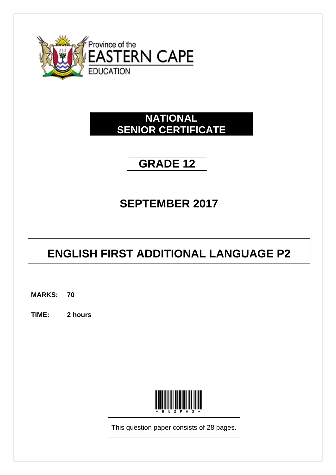

# **NATIONAL SENIOR CERTIFICATE**

# **GRADE 12**

# **SEPTEMBER 2017**

# **ENGLISH FIRST ADDITIONAL LANGUAGE P2**

**MARKS: 70**

**TIME: 2 hours**



This question paper consists of 28 pages.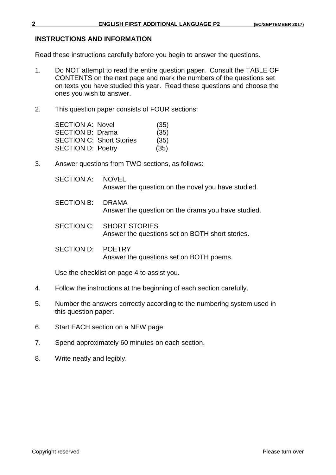# **INSTRUCTIONS AND INFORMATION**

Read these instructions carefully before you begin to answer the questions.

- 1. Do NOT attempt to read the entire question paper. Consult the TABLE OF CONTENTS on the next page and mark the numbers of the questions set on texts you have studied this year. Read these questions and choose the ones you wish to answer.
- 2. This question paper consists of FOUR sections:

| <b>SECTION A: Novel</b>  |                                 | (35) |
|--------------------------|---------------------------------|------|
| <b>SECTION B: Drama</b>  |                                 | (35) |
|                          | <b>SECTION C: Short Stories</b> | (35) |
| <b>SECTION D: Poetry</b> |                                 | (35) |

3. Answer questions from TWO sections, as follows:

| SECTION A: NOVEL |                                                    |
|------------------|----------------------------------------------------|
|                  | Answer the question on the novel you have studied. |

- SECTION B: DRAMA Answer the question on the drama you have studied.
- SECTION C: SHORT STORIES Answer the questions set on BOTH short stories.
- SECTION D: POETRY Answer the questions set on BOTH poems.

Use the checklist on page 4 to assist you.

- 4. Follow the instructions at the beginning of each section carefully.
- 5. Number the answers correctly according to the numbering system used in this question paper.
- 6. Start EACH section on a NEW page.
- 7. Spend approximately 60 minutes on each section.
- 8. Write neatly and legibly.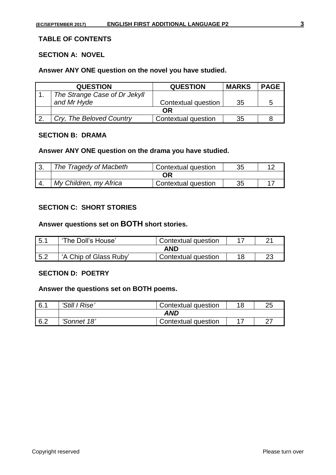# **TABLE OF CONTENTS**

# **SECTION A: NOVEL**

## **Answer ANY ONE question on the novel you have studied.**

|    | <b>QUESTION</b>               | <b>QUESTION</b>     | <b>MARKS</b> | <b>PAGE</b> |
|----|-------------------------------|---------------------|--------------|-------------|
|    | The Strange Case of Dr Jekyll |                     |              |             |
|    | and Mr Hyde                   | Contextual question | 35           | b           |
|    |                               | OR                  |              |             |
| 2. | Cry, The Beloved Country      | Contextual question | 35           |             |

## **SECTION B: DRAMA**

#### **Answer ANY ONE question on the drama you have studied.**

| The Tragedy of Macbeth | Contextual question |  |
|------------------------|---------------------|--|
|                        | OR                  |  |
| My Children, my Africa | Contextual question |  |

# **SECTION C: SHORT STORIES**

# **Answer questions set on BOTH short stories.**

| 5.1 | 'The Doll's House'     | Contextual question |    |
|-----|------------------------|---------------------|----|
|     |                        | AND                 |    |
| 5.2 | 'A Chip of Glass Ruby' | Contextual question | າາ |

# **SECTION D: POETRY**

#### **Answer the questions set on BOTH poems.**

| 6.1 | 'Still I Rise' | Contextual question | 25 |
|-----|----------------|---------------------|----|
|     |                | AND                 |    |
| 6.2 | 'Sonnet 18'    | Contextual question |    |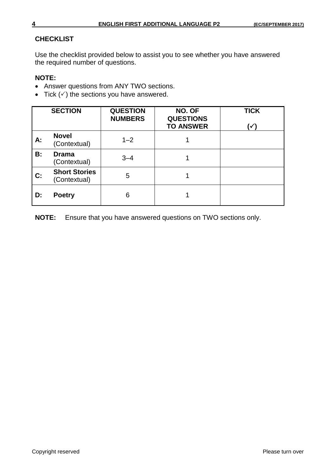# **CHECKLIST**

Use the checklist provided below to assist you to see whether you have answered the required number of questions.

# **NOTE:**

- Answer questions from ANY TWO sections.
- Tick  $(\checkmark)$  the sections you have answered.

|                | <b>SECTION</b>                       | <b>QUESTION</b><br><b>NUMBERS</b> | NO. OF<br><b>QUESTIONS</b><br><b>TO ANSWER</b> | <b>TICK</b><br>⋁ |
|----------------|--------------------------------------|-----------------------------------|------------------------------------------------|------------------|
| А:             | <b>Novel</b><br>(Contextual)         | $1 - 2$                           |                                                |                  |
| <b>B:</b>      | <b>Drama</b><br>(Contextual)         | $3 - 4$                           |                                                |                  |
| $\mathbf{C}$ : | <b>Short Stories</b><br>(Contextual) | 5                                 |                                                |                  |
| D:             | <b>Poetry</b>                        | 6                                 |                                                |                  |

**NOTE:** Ensure that you have answered questions on TWO sections only.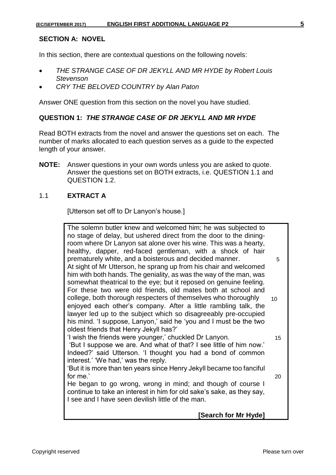# **SECTION A: NOVEL**

In this section, there are contextual questions on the following novels:

- *THE STRANGE CASE OF DR JEKYLL AND MR HYDE by Robert Louis Stevenson*
- *CRY THE BELOVED COUNTRY by Alan Paton*

Answer ONE question from this section on the novel you have studied.

## **QUESTION 1:** *THE STRANGE CASE OF DR JEKYLL AND MR HYDE*

Read BOTH extracts from the novel and answer the questions set on each. The number of marks allocated to each question serves as a guide to the expected length of your answer.

**NOTE:** Answer questions in your own words unless you are asked to quote. Answer the questions set on BOTH extracts, i.e. QUESTION 1.1 and QUESTION 1.2.

# 1.1 **EXTRACT A**

[Utterson set off to Dr Lanyon's house.]

| The solemn butler knew and welcomed him; he was subjected to          |    |
|-----------------------------------------------------------------------|----|
| no stage of delay, but ushered direct from the door to the dining-    |    |
| room where Dr Lanyon sat alone over his wine. This was a hearty,      |    |
| healthy, dapper, red-faced gentleman, with a shock of hair            |    |
| prematurely white, and a boisterous and decided manner.               | 5  |
| At sight of Mr Utterson, he sprang up from his chair and welcomed     |    |
| him with both hands. The geniality, as was the way of the man, was    |    |
| somewhat theatrical to the eye; but it reposed on genuine feeling.    |    |
| For these two were old friends, old mates both at school and          |    |
| college, both thorough respecters of themselves who thoroughly        | 10 |
| enjoyed each other's company. After a little rambling talk, the       |    |
| lawyer led up to the subject which so disagreeably pre-occupied       |    |
| his mind. 'I suppose, Lanyon,' said he 'you and I must be the two     |    |
| oldest friends that Henry Jekyll has?'                                |    |
| 'I wish the friends were younger,' chuckled Dr Lanyon.                |    |
| 'But I suppose we are. And what of that? I see little of him now.'    | 15 |
|                                                                       |    |
| Indeed?' said Utterson. 'I thought you had a bond of common           |    |
| interest.' 'We had,' was the reply.                                   |    |
| 'But it is more than ten years since Henry Jekyll became too fanciful |    |
| for me.'                                                              | 20 |
| He began to go wrong, wrong in mind; and though of course I           |    |
| continue to take an interest in him for old sake's sake, as they say, |    |
| I see and I have seen devilish little of the man.                     |    |
|                                                                       |    |
| [Search for Mr Hyde]                                                  |    |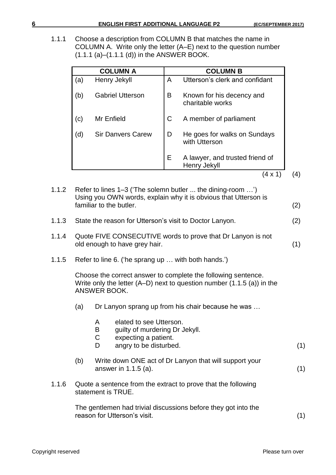1.1.1 Choose a description from COLUMN B that matches the name in COLUMN A. Write only the letter (A‒E) next to the question number  $(1.1.1 \text{ (a)} - (1.1.1 \text{ (d)}))$  in the ANSWER BOOK.

|     | <b>COLUMN A</b>          |   | <b>COLUMN B</b>                                 |
|-----|--------------------------|---|-------------------------------------------------|
| (a) | Henry Jekyll             | A | Utterson's clerk and confidant                  |
| (b) | <b>Gabriel Utterson</b>  | B | Known for his decency and<br>charitable works   |
| (C) | Mr Enfield               | C | A member of parliament                          |
| (d) | <b>Sir Danvers Carew</b> | D | He goes for walks on Sundays<br>with Utterson   |
|     |                          | E | A lawyer, and trusted friend of<br>Henry Jekyll |

| л |  |  |  |  |
|---|--|--|--|--|
|---|--|--|--|--|

- 1.1.2 Refer to lines 1–3 ('The solemn butler ... the dining-room …') Using you OWN words, explain why it is obvious that Utterson is familiar to the butler. (2)
- 1.1.3 State the reason for Utterson's visit to Doctor Lanyon. (2)
- 1.1.4 Quote FIVE CONSECUTIVE words to prove that Dr Lanyon is not old enough to have grey hair. (1)
- 1.1.5 Refer to line 6. ('he sprang up … with both hands.')

Choose the correct answer to complete the following sentence. Write only the letter (A–D) next to question number (1.1.5 (a)) in the ANSWER BOOK.

- (a) Dr Lanyon sprang up from his chair because he was …
	- A elated to see Utterson.
	- B guilty of murdering Dr Jekyll.
	- C expecting a patient.
	- D angry to be disturbed. (1)
		-
- (b) Write down ONE act of Dr Lanyon that will support your answer in 1.1.5 (a). (1)
- 1.1.6 Quote a sentence from the extract to prove that the following statement is TRUE.

The gentlemen had trivial discussions before they got into the reason for Utterson's visit. (1)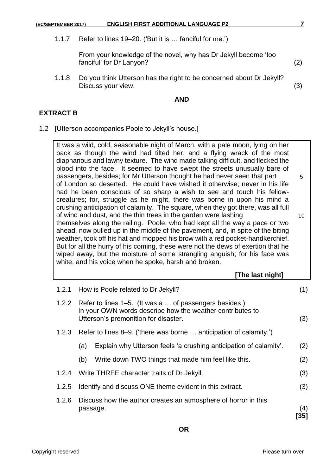1.1.7 Refer to lines 19–20. ('But it is … fanciful for me.')

From your knowledge of the novel, why has Dr Jekyll become 'too fanciful' for Dr Lanyon? (2)

1.1.8 Do you think Utterson has the right to be concerned about Dr Jekyll? Discuss your view. (3)

**AND**

# **EXTRACT B**

1.2 [Utterson accompanies Poole to Jekyll's house.]

It was a wild, cold, seasonable night of March, with a pale moon, lying on her back as though the wind had tilted her, and a flying wrack of the most diaphanous and lawny texture. The wind made talking difficult, and flecked the blood into the face. It seemed to have swept the streets unusually bare of passengers, besides; for Mr Utterson thought he had never seen that part 5 of London so deserted. He could have wished it otherwise; never in his life had he been conscious of so sharp a wish to see and touch his fellowcreatures; for, struggle as he might, there was borne in upon his mind a crushing anticipation of calamity. The square, when they got there, was all full of wind and dust, and the thin trees in the garden were lashing 10 themselves along the railing. Poole, who had kept all the way a pace or two ahead, now pulled up in the middle of the pavement, and, in spite of the biting weather, took off his hat and mopped his brow with a red pocket-handkerchief. But for all the hurry of his coming, these were not the dews of exertion that he wiped away, but the moisture of some strangling anguish; for his face was white, and his voice when he spoke, harsh and broken.

|       | [The last night]                                                                                                                                            |            |
|-------|-------------------------------------------------------------------------------------------------------------------------------------------------------------|------------|
| 1.2.1 | How is Poole related to Dr Jekyll?                                                                                                                          | (1)        |
| 1.2.2 | Refer to lines 1–5. (It was a  of passengers besides.)<br>In your OWN words describe how the weather contributes to<br>Utterson's premonition for disaster. | (3)        |
| 1.2.3 | Refer to lines 8–9. ('there was borne  anticipation of calamity.')                                                                                          |            |
|       | Explain why Utterson feels 'a crushing anticipation of calamity'.<br>(a)                                                                                    | (2)        |
|       | Write down TWO things that made him feel like this.<br>(b)                                                                                                  | (2)        |
| 1.2.4 | Write THREE character traits of Dr Jekyll.                                                                                                                  | (3)        |
| 1.2.5 | Identify and discuss ONE theme evident in this extract.                                                                                                     | (3)        |
| 1.2.6 | Discuss how the author creates an atmosphere of horror in this<br>passage.                                                                                  | (4)<br>351 |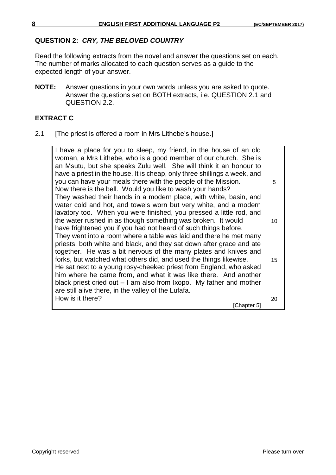# **QUESTION 2:** *CRY, THE BELOVED COUNTRY*

Read the following extracts from the novel and answer the questions set on each. The number of marks allocated to each question serves as a guide to the expected length of your answer.

**NOTE:** Answer questions in your own words unless you are asked to quote. Answer the questions set on BOTH extracts, i.e. QUESTION 2.1 and  $QUESTION 2.2$ 

# **EXTRACT C**

2.1 [The priest is offered a room in Mrs Lithebe's house.]

I have a place for you to sleep, my friend, in the house of an old woman, a Mrs Lithebe, who is a good member of our church. She is an Msutu, but she speaks Zulu well. She will think it an honour to have a priest in the house. It is cheap, only three shillings a week, and you can have your meals there with the people of the Mission.  $\frac{5}{5}$ Now there is the bell. Would you like to wash your hands? They washed their hands in a modern place, with white, basin, and water cold and hot, and towels worn but very white, and a modern lavatory too. When you were finished, you pressed a little rod, and the water rushed in as though something was broken. It would 10 have frightened you if you had not heard of such things before. They went into a room where a table was laid and there he met many priests, both white and black, and they sat down after grace and ate together. He was a bit nervous of the many plates and knives and forks, but watched what others did, and used the things likewise.  $15$ He sat next to a young rosy-cheeked priest from England, who asked him where he came from, and what it was like there. And another black priest cried out – I am also from Ixopo. My father and mother are still alive there, in the valley of the Lufafa. How is it there? 20 [Chapter 5]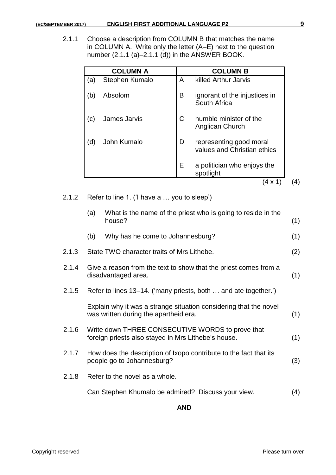## **(EC/SEPTEMBER 2017) ENGLISH FIRST ADDITIONAL LANGUAGE P2 9**

2.1.1 Choose a description from COLUMN B that matches the name in COLUMN A. Write only the letter (A–E) next to the question number  $(2.1.1$   $(a)-2.1.1$   $(d)$ ) in the ANSWER BOOK.

|     | <b>COLUMN A</b> |    | <b>COLUMN B</b>                                        |  |
|-----|-----------------|----|--------------------------------------------------------|--|
| (a) | Stephen Kumalo  | A  | killed Arthur Jarvis                                   |  |
| (b) | Absolom         | B  | ignorant of the injustices in<br>South Africa          |  |
| (c) | James Jarvis    | C  | humble minister of the<br>Anglican Church              |  |
| (d) | John Kumalo     | D  | representing good moral<br>values and Christian ethics |  |
|     |                 | E. | a politician who enjoys the<br>spotlight               |  |
|     |                 |    | 4 x 1                                                  |  |

|  | 2.1.2 Refer to line 1. ('I have a  you to sleep') |
|--|---------------------------------------------------|
|  |                                                   |

|       | (a) | What is the name of the priest who is going to reside in the                                               |     |
|-------|-----|------------------------------------------------------------------------------------------------------------|-----|
|       |     | house?                                                                                                     | (1) |
|       | (b) | Why has he come to Johannesburg?                                                                           | (1) |
| 2.1.3 |     | State TWO character traits of Mrs Lithebe.                                                                 | (2) |
| 2.1.4 |     | Give a reason from the text to show that the priest comes from a<br>disadvantaged area.                    | (1) |
| 2.1.5 |     | Refer to lines 13–14. ('many priests, both  and ate together.')                                            |     |
|       |     | Explain why it was a strange situation considering that the novel<br>was written during the apartheid era. | (1) |
| 2.1.6 |     | Write down THREE CONSECUTIVE WORDS to prove that<br>foreign priests also stayed in Mrs Lithebe's house.    | (1) |
| 2.1.7 |     | How does the description of Ixopo contribute to the fact that its<br>people go to Johannesburg?            | (3) |
| 2.1.8 |     | Refer to the novel as a whole.                                                                             |     |
|       |     | Can Stephen Khumalo be admired? Discuss your view.                                                         | (4) |
|       |     |                                                                                                            |     |

# **AND**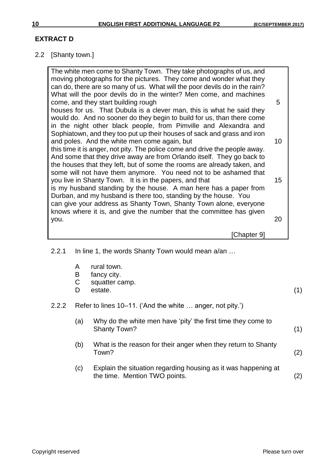# **EXTRACT D**

2.2 [Shanty town.]

| The white men come to Shanty Town. They take photographs of us, and         |    |
|-----------------------------------------------------------------------------|----|
| moving photographs for the pictures. They come and wonder what they         |    |
| can do, there are so many of us. What will the poor devils do in the rain?  |    |
| What will the poor devils do in the winter? Men come, and machines          |    |
| come, and they start building rough                                         | 5  |
| houses for us. That Dubula is a clever man, this is what he said they       |    |
| would do. And no sooner do they begin to build for us, than there come      |    |
| in the night other black people, from Pimville and Alexandra and            |    |
| Sophiatown, and they too put up their houses of sack and grass and iron     |    |
| and poles. And the white men come again, but                                | 10 |
| this time it is anger, not pity. The police come and drive the people away. |    |
| And some that they drive away are from Orlando itself. They go back to      |    |
| the houses that they left, but of some the rooms are already taken, and     |    |
| some will not have them anymore. You need not to be ashamed that            |    |
| you live in Shanty Town. It is in the papers, and that                      | 15 |
| is my husband standing by the house. A man here has a paper from            |    |
| Durban, and my husband is there too, standing by the house. You             |    |
| can give your address as Shanty Town, Shanty Town alone, everyone           |    |
| knows where it is, and give the number that the committee has given         |    |
| you.                                                                        | 20 |
|                                                                             |    |
|                                                                             |    |

[Chapter 9]

# 2.2.1 In line 1, the words Shanty Town would mean a/an …

|       | A<br>Β<br>C<br>D | rural town.<br>fancy city.<br>squatter camp.<br>estate.                                         | (1)               |
|-------|------------------|-------------------------------------------------------------------------------------------------|-------------------|
| 2.2.2 |                  | Refer to lines 10–11. (And the white  anger, not pity.)                                         |                   |
|       | (a)              | Why do the white men have 'pity' the first time they come to<br><b>Shanty Town?</b>             | (1)               |
|       | (b)              | What is the reason for their anger when they return to Shanty<br>Town?                          | (2)               |
|       | (c)              | Explain the situation regarding housing as it was happening at<br>the time. Mention TWO points. | $\left( 2\right)$ |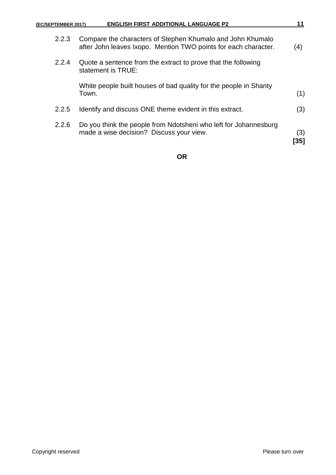| (EC/SEPTEMBER 2017) | <b>ENGLISH FIRST ADDITIONAL LANGUAGE P2</b>                                                                                   | 11          |
|---------------------|-------------------------------------------------------------------------------------------------------------------------------|-------------|
| 2.2.3               | Compare the characters of Stephen Khumalo and John Khumalo<br>after John leaves Ixopo. Mention TWO points for each character. | (4)         |
| 2.2.4               | Quote a sentence from the extract to prove that the following<br>statement is TRUE:                                           |             |
|                     | White people built houses of bad quality for the people in Shanty<br>Town.                                                    | (1)         |
| 2.2.5               | Identify and discuss ONE theme evident in this extract.                                                                       | (3)         |
| 2.2.6               | Do you think the people from Ndotsheni who left for Johannesburg<br>made a wise decision? Discuss your view.                  | (3)<br>[35] |

**OR**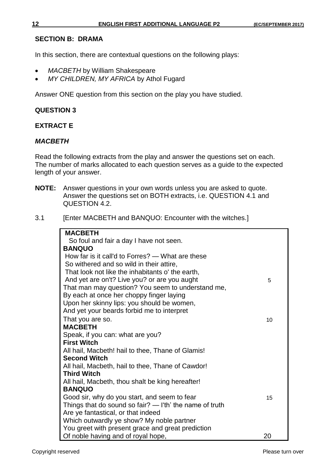# **SECTION B: DRAMA**

In this section, there are contextual questions on the following plays:

- *MACBETH* by William Shakespeare
- *MY CHILDREN, MY AFRICA* by Athol Fugard

Answer ONE question from this section on the play you have studied.

# **QUESTION 3**

# **EXTRACT E**

# *MACBETH*

Read the following extracts from the play and answer the questions set on each. The number of marks allocated to each question serves as a guide to the expected length of your answer.

- **NOTE:** Answer questions in your own words unless you are asked to quote. Answer the questions set on BOTH extracts, i.e. QUESTION 4.1 and QUESTION 4.2.
- 3.1 [Enter MACBETH and BANQUO: Encounter with the witches.]

| <b>MACBETH</b>                                          |    |
|---------------------------------------------------------|----|
| So foul and fair a day I have not seen.                 |    |
| <b>BANQUO</b>                                           |    |
| How far is it call'd to Forres? — What are these        |    |
| So withered and so wild in their attire,                |    |
| That look not like the inhabitants o' the earth,        |    |
| And yet are on't? Live you? or are you aught            | 5  |
| That man may question? You seem to understand me,       |    |
| By each at once her choppy finger laying                |    |
| Upon her skinny lips: you should be women,              |    |
| And yet your beards forbid me to interpret              |    |
| That you are so.                                        | 10 |
| <b>MACBETH</b>                                          |    |
| Speak, if you can: what are you?                        |    |
| <b>First Witch</b>                                      |    |
| All hail, Macbeth! hail to thee, Thane of Glamis!       |    |
| <b>Second Witch</b>                                     |    |
| All hail, Macbeth, hail to thee, Thane of Cawdor!       |    |
| <b>Third Witch</b>                                      |    |
| All hail, Macbeth, thou shalt be king hereafter!        |    |
| <b>BANQUO</b>                                           |    |
| Good sir, why do you start, and seem to fear            | 15 |
| Things that do sound so fair? — I'th' the name of truth |    |
| Are ye fantastical, or that indeed                      |    |
| Which outwardly ye show? My noble partner               |    |
| You greet with present grace and great prediction       |    |
| Of noble having and of royal hope,                      | 20 |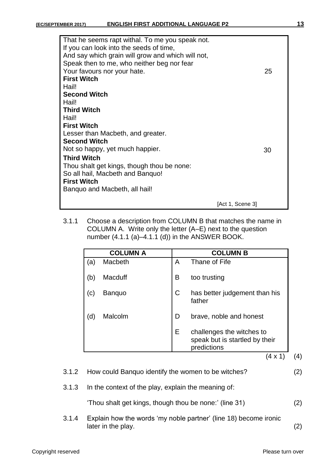| That he seems rapt withal. To me you speak not.<br>If you can look into the seeds of time,<br>And say which grain will grow and which will not,<br>Speak then to me, who neither beg nor fear<br>Your favours nor your hate.<br>25<br><b>First Witch</b> |  |
|----------------------------------------------------------------------------------------------------------------------------------------------------------------------------------------------------------------------------------------------------------|--|
| Hail!<br><b>Second Witch</b>                                                                                                                                                                                                                             |  |
| Hail!                                                                                                                                                                                                                                                    |  |
| <b>Third Witch</b>                                                                                                                                                                                                                                       |  |
| Hail!                                                                                                                                                                                                                                                    |  |
| <b>First Witch</b>                                                                                                                                                                                                                                       |  |
| Lesser than Macbeth, and greater.                                                                                                                                                                                                                        |  |
| <b>Second Witch</b>                                                                                                                                                                                                                                      |  |
| Not so happy, yet much happier.<br>30                                                                                                                                                                                                                    |  |
| <b>Third Witch</b>                                                                                                                                                                                                                                       |  |
| Thou shalt get kings, though thou be none:                                                                                                                                                                                                               |  |
| So all hail, Macbeth and Banquo!                                                                                                                                                                                                                         |  |
| <b>First Witch</b>                                                                                                                                                                                                                                       |  |
| Banquo and Macbeth, all hail!                                                                                                                                                                                                                            |  |
| [Act 1, Scene 3]                                                                                                                                                                                                                                         |  |

3.1.1 Choose a description from COLUMN B that matches the name in COLUMN A. Write only the letter (A–E) next to the question number (4.1.1 (a)–4.1.1 (d)) in the ANSWER BOOK.

|     | <b>COLUMN A</b> |   | <b>COLUMN B</b>                                                            |  |
|-----|-----------------|---|----------------------------------------------------------------------------|--|
| (a) | Macbeth         | A | Thane of Fife                                                              |  |
| (b) | Macduff         | B | too trusting                                                               |  |
| (c) | Banquo          | C | has better judgement than his<br>father                                    |  |
| (d) | Malcolm         | D | brave, noble and honest                                                    |  |
|     |                 | Е | challenges the witches to<br>speak but is startled by their<br>predictions |  |
|     |                 |   | $4 \times 1$                                                               |  |

- 3.1.2 How could Banquo identify the women to be witches? (2)
- 3.1.3 In the context of the play, explain the meaning of:

'Thou shalt get kings, though thou be none:' (line 31) (2)

3.1.4 Explain how the words 'my noble partner' (line 18) become ironic later in the play. (2)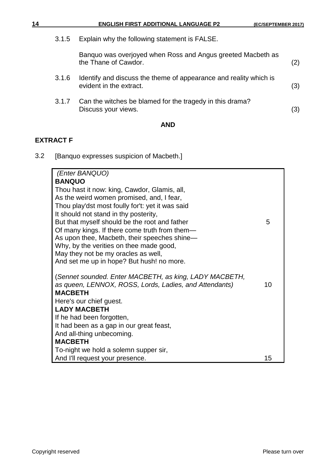| 14    | <b>ENGLISH FIRST ADDITIONAL LANGUAGE P2</b><br>(EC/SEPTEMBER 2017)                           |     |
|-------|----------------------------------------------------------------------------------------------|-----|
| 3.1.5 | Explain why the following statement is FALSE.                                                |     |
|       | Banquo was overjoyed when Ross and Angus greeted Macbeth as<br>the Thane of Cawdor.          | (2) |
| 3.1.6 | Identify and discuss the theme of appearance and reality which is<br>evident in the extract. | (3) |
| 3.1.7 | Can the witches be blamed for the tragedy in this drama?<br>Discuss your views.              | (3) |
|       | AND                                                                                          |     |

# **EXTRACT F**

3.2 [Banquo expresses suspicion of Macbeth.]

| (Enter BANQUO)                                         |    |
|--------------------------------------------------------|----|
| <b>BANQUO</b>                                          |    |
| Thou hast it now: king, Cawdor, Glamis, all,           |    |
| As the weird women promised, and, I fear,              |    |
| Thou play'dst most foully for't: yet it was said       |    |
| It should not stand in thy posterity,                  |    |
| But that myself should be the root and father          | 5  |
| Of many kings. If there come truth from them—          |    |
| As upon thee, Macbeth, their speeches shine-           |    |
| Why, by the verities on thee made good,                |    |
| May they not be my oracles as well,                    |    |
| And set me up in hope? But hush! no more.              |    |
|                                                        |    |
| (Sennet sounded. Enter MACBETH, as king, LADY MACBETH, |    |
| as queen, LENNOX, ROSS, Lords, Ladies, and Attendants) | 10 |
| <b>MACBETH</b>                                         |    |
| Here's our chief guest.                                |    |
| <b>LADY MACBETH</b>                                    |    |
| If he had been forgotten,                              |    |
| It had been as a gap in our great feast,               |    |
| And all-thing unbecoming.                              |    |
| <b>MACBETH</b>                                         |    |
| To-night we hold a solemn supper sir,                  |    |
| And I'll request your presence.                        | 15 |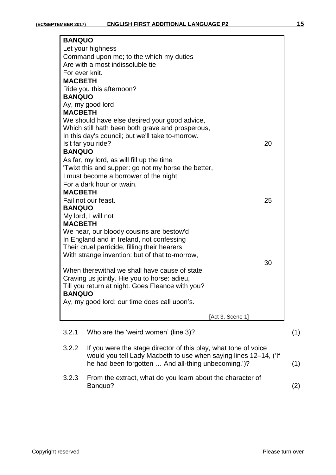| <b>BANQUO</b>  |                                                                                                |                  |
|----------------|------------------------------------------------------------------------------------------------|------------------|
|                | Let your highness                                                                              |                  |
|                | Command upon me; to the which my duties                                                        |                  |
|                | Are with a most indissoluble tie                                                               |                  |
| For ever knit. |                                                                                                |                  |
| <b>MACBETH</b> |                                                                                                |                  |
|                | Ride you this afternoon?                                                                       |                  |
| <b>BANQUO</b>  |                                                                                                |                  |
|                | Ay, my good lord                                                                               |                  |
| <b>MACBETH</b> |                                                                                                |                  |
|                | We should have else desired your good advice,                                                  |                  |
|                | Which still hath been both grave and prosperous,                                               |                  |
|                | In this day's council; but we'll take to-morrow.                                               |                  |
|                | Is't far you ride?                                                                             | 20               |
| <b>BANQUO</b>  |                                                                                                |                  |
|                | As far, my lord, as will fill up the time                                                      |                  |
|                | 'Twixt this and supper: go not my horse the better,                                            |                  |
|                | I must become a borrower of the night                                                          |                  |
|                | For a dark hour or twain.                                                                      |                  |
| <b>MACBETH</b> |                                                                                                |                  |
|                | Fail not our feast.                                                                            | 25               |
| <b>BANQUO</b>  |                                                                                                |                  |
|                | My lord, I will not                                                                            |                  |
| <b>MACBETH</b> |                                                                                                |                  |
|                | We hear, our bloody cousins are bestow'd                                                       |                  |
|                | In England and in Ireland, not confessing                                                      |                  |
|                | Their cruel parricide, filling their hearers<br>With strange invention: but of that to-morrow, |                  |
|                |                                                                                                | 30               |
|                | When therewithal we shall have cause of state                                                  |                  |
|                | Craving us jointly. Hie you to horse: adieu,                                                   |                  |
|                | Till you return at night. Goes Fleance with you?                                               |                  |
| <b>BANQUO</b>  |                                                                                                |                  |
|                | Ay, my good lord: our time does call upon's.                                                   |                  |
|                |                                                                                                |                  |
|                |                                                                                                | [Act 3, Scene 1] |
|                |                                                                                                |                  |
| 3.2.1          | Who are the 'weird women' (line 3)?                                                            |                  |
| 3.2.2          | If you were the stage director of this play, what tone of voice                                |                  |
|                | would you tell Lady Macbeth to use when saying lines 12-14, ('If                               |                  |
|                | he had been forgotten  And all-thing unbecoming.')?                                            |                  |
| 3.2.3          |                                                                                                |                  |
|                | From the extract, what do you learn about the character of<br>Banquo?                          |                  |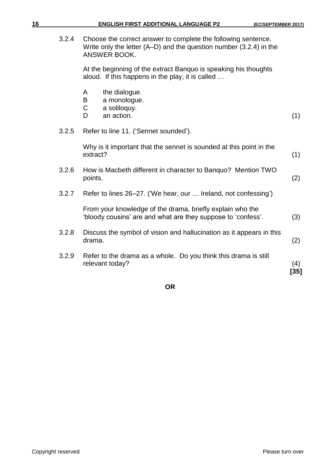| 16 |       | <b>ENGLISH FIRST ADDITIONAL LANGUAGE P2</b><br>(EC/SEPTEMBER 2017)                                                                                      |               |
|----|-------|---------------------------------------------------------------------------------------------------------------------------------------------------------|---------------|
|    | 3.2.4 | Choose the correct answer to complete the following sentence.<br>Write only the letter $(A-D)$ and the question number $(3.2.4)$ in the<br>ANSWER BOOK. |               |
|    |       | At the beginning of the extract Banquo is speaking his thoughts<br>aloud. If this happens in the play, it is called                                     |               |
|    |       | the dialogue.<br>A<br>B<br>a monologue.<br>a soliloquy.<br>C<br>D<br>an action.                                                                         | (1)           |
|    | 3.2.5 | Refer to line 11. ('Sennet sounded').                                                                                                                   |               |
|    |       | Why is it important that the sennet is sounded at this point in the<br>extract?                                                                         | (1)           |
|    | 3.2.6 | How is Macbeth different in character to Banquo? Mention TWO<br>points.                                                                                 | (2)           |
|    | 3.2.7 | Refer to lines 26–27. ('We hear, our  Ireland, not confessing')                                                                                         |               |
|    |       | From your knowledge of the drama, briefly explain who the<br>'bloody cousins' are and what are they suppose to 'confess'.                               | (3)           |
|    | 3.2.8 | Discuss the symbol of vision and hallucination as it appears in this<br>drama.                                                                          | (2)           |
|    | 3.2.9 | Refer to the drama as a whole. Do you think this drama is still<br>relevant today?                                                                      | (4)<br>$[35]$ |

**OR**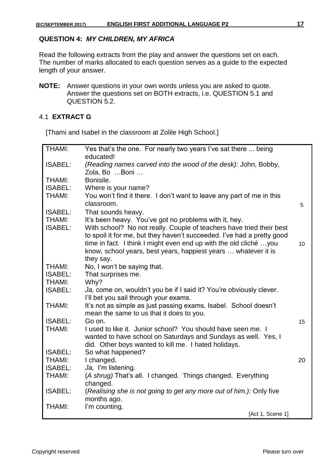# **QUESTION 4:** *MY CHILDREN, MY AFRICA*

Read the following extracts from the play and answer the questions set on each. The number of marks allocated to each question serves as a guide to the expected length of your answer.

**NOTE:** Answer questions in your own words unless you are asked to quote. Answer the questions set on BOTH extracts, i.e. QUESTION 5.1 and QUESTION 5.2.

# 4.1 **EXTRACT G**

[Thami and Isabel in the classroom at Zolile High School.]

| <b>THAMI:</b>                   | Yes that's the one. For nearly two years I've sat there  being<br>educated!                                                                                                                                                                                                                         |    |
|---------------------------------|-----------------------------------------------------------------------------------------------------------------------------------------------------------------------------------------------------------------------------------------------------------------------------------------------------|----|
| <b>ISABEL:</b>                  | (Reading names carved into the wood of the desk): John, Bobby,<br>Zola, Bo  Boni                                                                                                                                                                                                                    |    |
| <b>THAMI:</b>                   | Bonisile.                                                                                                                                                                                                                                                                                           |    |
| <b>ISABEL:</b>                  | Where is your name?                                                                                                                                                                                                                                                                                 |    |
| <b>THAMI:</b>                   | You won't find it there. I don't want to leave any part of me in this<br>classroom.                                                                                                                                                                                                                 | 5  |
| <b>ISABEL:</b>                  | That sounds heavy.                                                                                                                                                                                                                                                                                  |    |
| <b>THAMI:</b>                   | It's been heavy. You've got no problems with it, hey.                                                                                                                                                                                                                                               |    |
| <b>ISABEL:</b>                  | With school? No not really. Couple of teachers have tried their best<br>to spoil it for me, but they haven't succeeded. I've had a pretty good<br>time in fact. I think I might even end up with the old cliché  you<br>know, school years, best years, happiest years  whatever it is<br>they say. | 10 |
| <b>THAMI:</b>                   | No, I won't be saying that.                                                                                                                                                                                                                                                                         |    |
| <b>ISABEL:</b>                  | That surprises me.                                                                                                                                                                                                                                                                                  |    |
| <b>THAMI:</b>                   | Why?                                                                                                                                                                                                                                                                                                |    |
| <b>ISABEL:</b>                  | Ja, come on, wouldn't you be if I said it? You're obviously clever.                                                                                                                                                                                                                                 |    |
|                                 | I'll bet you sail through your exams.                                                                                                                                                                                                                                                               |    |
| <b>THAMI:</b>                   | It's not as simple as just passing exams, Isabel. School doesn't<br>mean the same to us that it does to you.                                                                                                                                                                                        |    |
| <b>ISABEL:</b>                  | Go on.                                                                                                                                                                                                                                                                                              | 15 |
| <b>THAMI:</b>                   | I used to like it. Junior school? You should have seen me. I<br>wanted to have school on Saturdays and Sundays as well. Yes, I<br>did. Other boys wanted to kill me. I hated holidays.                                                                                                              |    |
| <b>ISABEL:</b>                  | So what happened?                                                                                                                                                                                                                                                                                   |    |
| <b>THAMI:</b>                   | I changed.                                                                                                                                                                                                                                                                                          | 20 |
| <b>ISABEL:</b><br><b>THAMI:</b> | Ja, I'm listening.                                                                                                                                                                                                                                                                                  |    |
|                                 | (A shrug) That's all. I changed. Things changed. Everything<br>changed.                                                                                                                                                                                                                             |    |
| <b>ISABEL:</b>                  | (Realising she is not going to get any more out of him.): Only five<br>months ago.                                                                                                                                                                                                                  |    |
| <b>THAMI:</b>                   | I'm counting.                                                                                                                                                                                                                                                                                       |    |
|                                 | [Act 1, Scene 1]                                                                                                                                                                                                                                                                                    |    |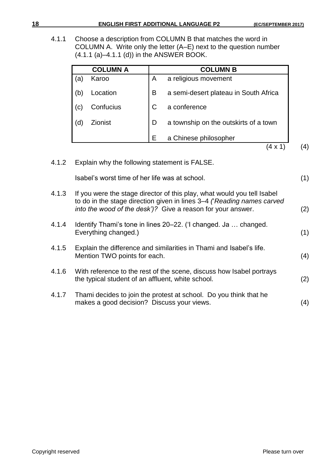4.1.1 Choose a description from COLUMN B that matches the word in COLUMN A. Write only the letter (A–E) next to the question number (4.1.1 (a)–4.1.1 (d)) in the ANSWER BOOK.

|     | <b>COLUMN A</b> |   | <b>COLUMN B</b>                       |
|-----|-----------------|---|---------------------------------------|
| (a) | Karoo           | A | a religious movement                  |
| (b) | Location        | В | a semi-desert plateau in South Africa |
| (c) | Confucius       | C | a conference                          |
| d)  | <b>Zionist</b>  | D | a township on the outskirts of a town |
|     |                 | F | a Chinese philosopher                 |
|     |                 |   | ΄4 χ                                  |

# 4.1.2 Explain why the following statement is FALSE.

Isabel's worst time of her life was at school. (1)

| 4.1.3 | If you were the stage director of this play, what would you tell Isabel<br>to do in the stage direction given in lines 3-4 (Reading names carved<br>into the wood of the desk')? Give a reason for your answer. | (2) |
|-------|-----------------------------------------------------------------------------------------------------------------------------------------------------------------------------------------------------------------|-----|
| 4.1.4 | Identify Thami's tone in lines 20–22. (I changed. Ja  changed.<br>Everything changed.)                                                                                                                          | (1) |
| 4.1.5 | Explain the difference and similarities in Thami and Isabel's life.<br>Mention TWO points for each.                                                                                                             | (4) |
| 4.1.6 | With reference to the rest of the scene, discuss how Isabel portrays<br>the typical student of an affluent, white school.                                                                                       | (2) |
| 4.1.7 | Thami decides to join the protest at school. Do you think that he<br>makes a good decision? Discuss your views.                                                                                                 | (4) |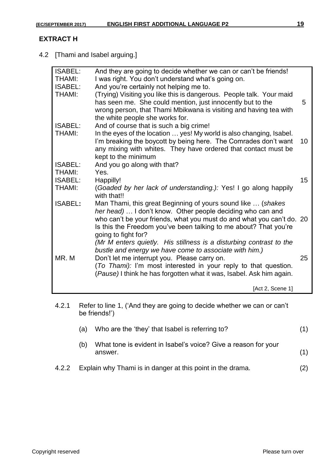# **EXTRACT H**

4.2 [Thami and Isabel arguing.]

| <b>ISABEL:</b> | And they are going to decide whether we can or can't be friends!                                                                                                                                                                                                                               |    |
|----------------|------------------------------------------------------------------------------------------------------------------------------------------------------------------------------------------------------------------------------------------------------------------------------------------------|----|
| <b>THAMI:</b>  | I was right. You don't understand what's going on.                                                                                                                                                                                                                                             |    |
| <b>ISABEL:</b> | And you're certainly not helping me to.                                                                                                                                                                                                                                                        |    |
| <b>THAMI:</b>  | (Trying) Visiting you like this is dangerous. People talk. Your maid<br>has seen me. She could mention, just innocently but to the<br>wrong person, that Thami Mbikwana is visiting and having tea with<br>the white people she works for.                                                     | 5  |
| <b>ISABEL:</b> | And of course that is such a big crime!                                                                                                                                                                                                                                                        |    |
| <b>THAMI:</b>  | In the eyes of the location  yes! My world is also changing, Isabel.<br>I'm breaking the boycott by being here. The Comrades don't want<br>any mixing with whites. They have ordered that contact must be<br>kept to the minimum                                                               | 10 |
| <b>ISABEL:</b> | And you go along with that?                                                                                                                                                                                                                                                                    |    |
| <b>THAMI:</b>  | Yes.                                                                                                                                                                                                                                                                                           |    |
| <b>ISABEL:</b> | Happilly!                                                                                                                                                                                                                                                                                      | 15 |
| <b>THAMI:</b>  | (Goaded by her lack of understanding.): Yes! I go along happily<br>with that!!                                                                                                                                                                                                                 |    |
| <b>ISABEL:</b> | Man Thami, this great Beginning of yours sound like  (shakes<br>her head)  I don't know. Other people deciding who can and<br>who can't be your friends, what you must do and what you can't do. 20<br>Is this the Freedom you've been talking to me about? That you're<br>going to fight for? |    |
|                | (Mr M enters quietly. His stillness is a disturbing contrast to the<br>bustle and energy we have come to associate with him.)                                                                                                                                                                  |    |
| MR. M          | Don't let me interrupt you. Please carry on.<br>(To Thami): I'm most interested in your reply to that question.<br>(Pause) I think he has forgotten what it was, Isabel. Ask him again.                                                                                                        | 25 |
|                | [Act 2, Scene 1]                                                                                                                                                                                                                                                                               |    |

4.2.1 Refer to line 1, ('And they are going to decide whether we can or can't be friends!')

|       | (a) | Who are the 'they' that Isabel is referring to?                           | (1) |
|-------|-----|---------------------------------------------------------------------------|-----|
|       | (b) | What tone is evident in Isabel's voice? Give a reason for your<br>answer. | (1) |
| 4.2.2 |     | Explain why Thami is in danger at this point in the drama.                | (2) |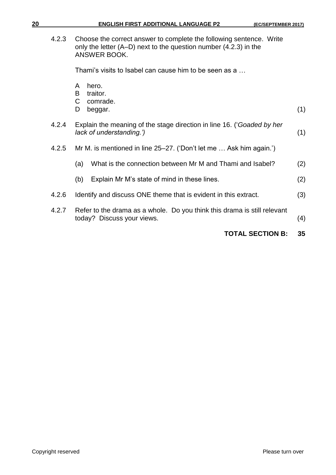| 4.2.3 | Choose the correct answer to complete the following sentence. Write<br>only the letter $(A-D)$ next to the question number $(4.2.3)$ in the<br>ANSWER BOOK. |     |  |  |  |
|-------|-------------------------------------------------------------------------------------------------------------------------------------------------------------|-----|--|--|--|
|       | Thami's visits to Isabel can cause him to be seen as a                                                                                                      |     |  |  |  |
|       | hero.<br>A<br>traitor.<br>B.<br>C.<br>comrade.<br>D<br>beggar.                                                                                              | (1) |  |  |  |
| 4.2.4 | Explain the meaning of the stage direction in line 16. (Goaded by her<br>lack of understanding.')                                                           | (1) |  |  |  |
| 4.2.5 | Mr M. is mentioned in line 25–27. ('Don't let me  Ask him again.')                                                                                          |     |  |  |  |
|       | What is the connection between Mr M and Thami and Isabel?<br>(a)                                                                                            | (2) |  |  |  |
|       | Explain Mr M's state of mind in these lines.<br>(b)                                                                                                         | (2) |  |  |  |
| 4.2.6 | Identify and discuss ONE theme that is evident in this extract.                                                                                             | (3) |  |  |  |
| 4.2.7 | Refer to the drama as a whole. Do you think this drama is still relevant<br>today? Discuss your views.                                                      | (4) |  |  |  |
|       | <b>TOTAL SECTION B:</b>                                                                                                                                     | 35  |  |  |  |

**20 ENGLISH FIRST ADDITIONAL LANGUAGE P2 (EC/SEPTEMBER 2017)**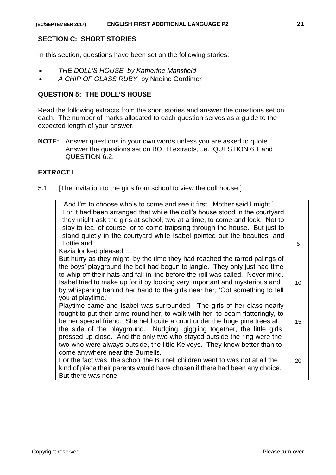# **SECTION C: SHORT STORIES**

In this section, questions have been set on the following stories:

- *THE DOLL'S HOUSE by Katherine Mansfield*
- *A CHIP OF GLASS RUBY* by Nadine Gordimer

# **QUESTION 5: THE DOLL'S HOUSE**

Read the following extracts from the short stories and answer the questions set on each. The number of marks allocated to each question serves as a guide to the expected length of your answer.

**NOTE:** Answer questions in your own words unless you are asked to quote. Answer the questions set on BOTH extracts, i.e. 'QUESTION 6.1 and QUESTION 6.2.

# **EXTRACT I**

5.1 [The invitation to the girls from school to view the doll house.]

'And I'm to choose who's to come and see it first. Mother said I might.' For it had been arranged that while the doll's house stood in the courtyard they might ask the girls at school, two at a time, to come and look. Not to stay to tea, of course, or to come traipsing through the house. But just to stand quietly in the courtyard while Isabel pointed out the beauties, and Lottie and 55

Kezia looked pleased …

But hurry as they might, by the time they had reached the tarred palings of the boys' playground the bell had begun to jangle. They only just had time to whip off their hats and fall in line before the roll was called. Never mind. Isabel tried to make up for it by looking very important and mysterious and 10 by whispering behind her hand to the girls near her, 'Got something to tell you at playtime.'

Playtime came and Isabel was surrounded. The girls of her class nearly fought to put their arms round her, to walk with her, to beam flatteringly, to be her special friend. She held quite a court under the huge pine trees at 15 the side of the playground. Nudging, giggling together, the little girls pressed up close. And the only two who stayed outside the ring were the two who were always outside, the little Kelveys. They knew better than to come anywhere near the Burnells.

For the fact was, the school the Burnell children went to was not at all the 20 kind of place their parents would have chosen if there had been any choice. But there was none.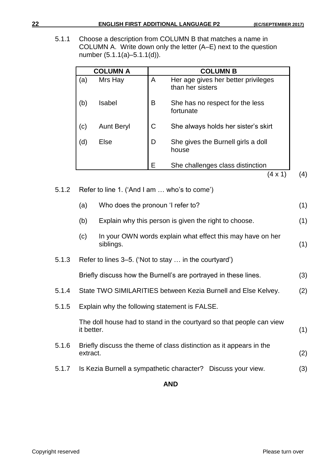5.1.1 Choose a description from COLUMN B that matches a name in COLUMN A. Write down only the letter (A–E) next to the question number (5.1.1(a)–5.1.1(d)).

|     | <b>COLUMN A</b>   |   | <b>COLUMN B</b>                                         |
|-----|-------------------|---|---------------------------------------------------------|
| (a) | Mrs Hay           | A | Her age gives her better privileges<br>than her sisters |
| (b) | Isabel            | B | She has no respect for the less<br>fortunate            |
| (c) | <b>Aunt Beryl</b> | C | She always holds her sister's skirt                     |
| (d) | Else              | D | She gives the Burnell girls a doll<br>house             |
|     |                   | Е | She challenges class distinction                        |
|     |                   |   | 4 x 1                                                   |

5.1.2 Refer to line 1. ('And I am … who's to come')

|       | (a)        | Who does the pronoun 'I refer to?                                       | (1) |
|-------|------------|-------------------------------------------------------------------------|-----|
|       | (b)        | Explain why this person is given the right to choose.                   | (1) |
|       | (c)        | In your OWN words explain what effect this may have on her<br>siblings. | (1) |
| 5.1.3 |            | Refer to lines 3–5. ('Not to stay  in the courtyard')                   |     |
|       |            | Briefly discuss how the Burnell's are portrayed in these lines.         | (3) |
| 5.1.4 |            | State TWO SIMILARITIES between Kezia Burnell and Else Kelvey.           | (2) |
| 5.1.5 |            | Explain why the following statement is FALSE.                           |     |
|       | it better. | The doll house had to stand in the courtyard so that people can view    | (1) |
| 5.1.6 | extract.   | Briefly discuss the theme of class distinction as it appears in the     | (2) |
| 5.1.7 |            | Is Kezia Burnell a sympathetic character? Discuss your view.            | (3) |
|       |            | AND                                                                     |     |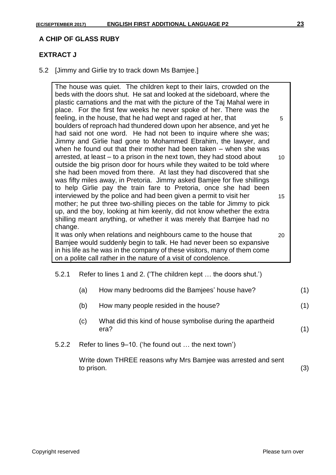# **A CHIP OF GLASS RUBY**

# **EXTRACT J**

5.2 [Jimmy and Girlie try to track down Ms Bamjee.]

The house was quiet. The children kept to their lairs, crowded on the beds with the doors shut. He sat and looked at the sideboard, where the plastic carnations and the mat with the picture of the Taj Mahal were in place. For the first few weeks he never spoke of her. There was the feeling, in the house, that he had wept and raged at her, that  $5<sub>5</sub>$ boulders of reproach had thundered down upon her absence, and yet he had said not one word. He had not been to inquire where she was; Jimmy and Girlie had gone to Mohammed Ebrahim, the lawyer, and when he found out that their mother had been taken – when she was arrested, at least  $-$  to a prison in the next town, they had stood about  $10$ outside the big prison door for hours while they waited to be told where she had been moved from there. At last they had discovered that she was fifty miles away, in Pretoria. Jimmy asked Bamjee for five shillings to help Girlie pay the train fare to Pretoria, once she had been interviewed by the police and had been given a permit to visit her 15 mother; he put three two-shilling pieces on the table for Jimmy to pick up, and the boy, looking at him keenly, did not know whether the extra shilling meant anything, or whether it was merely that Bamjee had no change. It was only when relations and neighbours came to the house that 20

Bamjee would suddenly begin to talk. He had never been so expansive in his life as he was in the company of these visitors, many of them come on a polite call rather in the nature of a visit of condolence.

- 5.2.1 Refer to lines 1 and 2. ('The children kept … the doors shut.')
	- (a) How many bedrooms did the Bamjees' house have? (1)
	- (b) How many people resided in the house? (1)
	- (c) What did this kind of house symbolise during the apartheid era? (1)
- 5.2.2 Refer to lines 9–10. ('he found out … the next town')

Write down THREE reasons why Mrs Bamjee was arrested and sent to prison.  $(3)$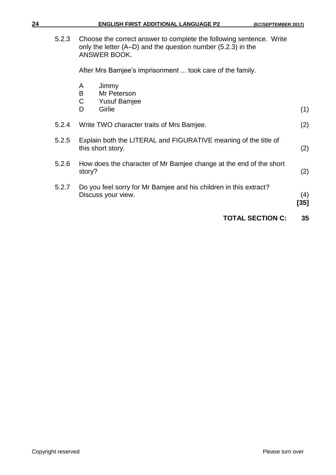| 24 |       | <b>ENGLISH FIRST ADDITIONAL LANGUAGE P2</b><br>(EC/SEPTEMBER 2017)                                                                                  |               |
|----|-------|-----------------------------------------------------------------------------------------------------------------------------------------------------|---------------|
|    | 5.2.3 | Choose the correct answer to complete the following sentence. Write<br>only the letter (A–D) and the question number (5.2.3) in the<br>ANSWER BOOK. |               |
|    |       | After Mrs Bamjee's imprisonment  took care of the family.                                                                                           |               |
|    |       | Jimmy<br>A<br>B<br>Mr Peterson<br>$\mathsf C$<br><b>Yusuf Bamjee</b>                                                                                |               |
|    |       | Girlie<br>D                                                                                                                                         | (1)           |
|    | 5.2.4 | Write TWO character traits of Mrs Bamjee.                                                                                                           | (2)           |
|    | 5.2.5 | Explain both the LITERAL and FIGURATIVE meaning of the title of<br>this short story.                                                                | (2)           |
|    | 5.2.6 | How does the character of Mr Bamjee change at the end of the short<br>story?                                                                        | (2)           |
|    | 5.2.7 | Do you feel sorry for Mr Bamjee and his children in this extract?<br>Discuss your view.                                                             | (4)<br>$[35]$ |
|    |       | <b>TOTAL SECTION C:</b>                                                                                                                             | 35            |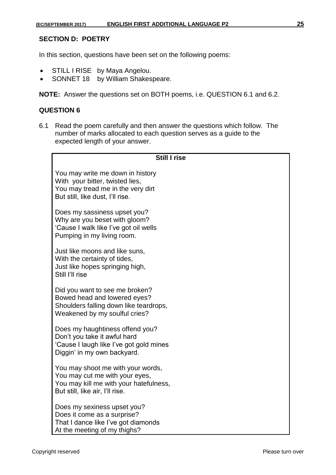# **SECTION D: POETRY**

In this section, questions have been set on the following poems:

- STILL I RISE by Maya Angelou.
- SONNET 18 by William Shakespeare.

**NOTE:** Answer the questions set on BOTH poems, i.e. QUESTION 6.1 and 6.2.

# **QUESTION 6**

6.1 Read the poem carefully and then answer the questions which follow. The number of marks allocated to each question serves as a guide to the expected length of your answer.

| Still I rise                                                                                                                                     |
|--------------------------------------------------------------------------------------------------------------------------------------------------|
| You may write me down in history<br>With your bitter, twisted lies,<br>You may tread me in the very dirt<br>But still, like dust, I'll rise.     |
| Does my sassiness upset you?<br>Why are you beset with gloom?<br>'Cause I walk like I've got oil wells<br>Pumping in my living room.             |
| Just like moons and like suns,<br>With the certainty of tides,<br>Just like hopes springing high,<br>Still I'll rise                             |
| Did you want to see me broken?<br>Bowed head and lowered eyes?<br>Shoulders falling down like teardrops,<br>Weakened by my soulful cries?        |
| Does my haughtiness offend you?<br>Don't you take it awful hard<br>'Cause I laugh like I've got gold mines<br>Diggin' in my own backyard.        |
| You may shoot me with your words,<br>You may cut me with your eyes,<br>You may kill me with your hatefulness,<br>But still, like air, I'll rise. |
| Does my sexiness upset you?<br>Does it come as a surprise?<br>That I dance like I've got diamonds<br>At the meeting of my thighs?                |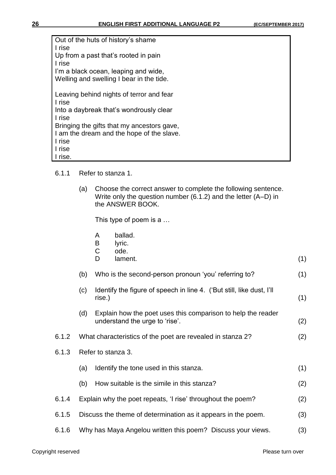Out of the huts of history's shame I rise Up from a past that's rooted in pain I rise I'm a black ocean, leaping and wide, Welling and swelling I bear in the tide. Leaving behind nights of terror and fear I rise Into a daybreak that's wondrously clear I rise Bringing the gifts that my ancestors gave, I am the dream and the hope of the slave. I rise I rise I rise.

- 6.1.1 Refer to stanza 1.
	- (a) Choose the correct answer to complete the following sentence. Write only the question number (6.1.2) and the letter (A–D) in the ANSWER BOOK.

This type of poem is a …

|       |                    | A<br>B<br>C | ballad.<br>lyric.<br>ode.                                                                      |     |
|-------|--------------------|-------------|------------------------------------------------------------------------------------------------|-----|
|       |                    | D           | lament.                                                                                        | (1) |
|       | (b)                |             | Who is the second-person pronoun 'you' referring to?                                           | (1) |
|       | (c)                | rise.)      | Identify the figure of speech in line 4. ('But still, like dust, I'll                          | (1) |
|       | (d)                |             | Explain how the poet uses this comparison to help the reader<br>understand the urge to 'rise'. | (2) |
| 6.1.2 |                    |             | What characteristics of the poet are revealed in stanza 2?                                     | (2) |
| 6.1.3 | Refer to stanza 3. |             |                                                                                                |     |
|       | (a)                |             | Identify the tone used in this stanza.                                                         | (1) |
|       | (b)                |             | How suitable is the simile in this stanza?                                                     | (2) |
| 6.1.4 |                    |             | Explain why the poet repeats, 'I rise' throughout the poem?                                    | (2) |
| 6.1.5 |                    |             | Discuss the theme of determination as it appears in the poem.                                  | (3) |
| 6.1.6 |                    |             | Why has Maya Angelou written this poem? Discuss your views.                                    | (3) |
|       |                    |             |                                                                                                |     |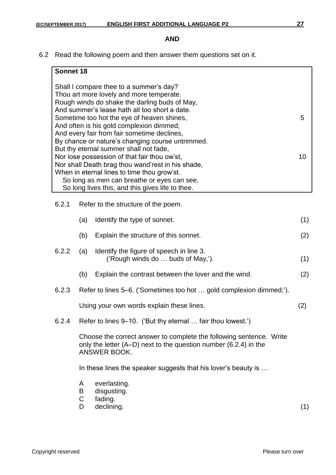# **AND**

6.2 Read the following poem and then answer them questions set on it.

| Sonnet 18 |     |                                                                                                                                                                                                                                                                                                                                                   |     |
|-----------|-----|---------------------------------------------------------------------------------------------------------------------------------------------------------------------------------------------------------------------------------------------------------------------------------------------------------------------------------------------------|-----|
|           |     | Shall I compare thee to a summer's day?<br>Thou art more lovely and more temperate.<br>Rough winds do shake the darling buds of May,                                                                                                                                                                                                              |     |
|           |     | And summer's lease hath all too short a date.<br>Sometime too hot the eye of heaven shines,<br>And often is his gold complexion dimmed;<br>And every fair from fair sometime declines,                                                                                                                                                            | 5   |
|           |     | By chance or nature's changing course untrimmed.<br>But thy eternal summer shall not fade,<br>Nor lose possession of that fair thou ow'st,<br>Nor shall Death brag thou wand'rest in his shade,<br>When in eternal lines to time thou grow'st.<br>So long as men can breathe or eyes can see,<br>So long lives this, and this gives life to thee. | 10  |
| 6.2.1     |     | Refer to the structure of the poem.                                                                                                                                                                                                                                                                                                               |     |
|           | (a) | Identify the type of sonnet.                                                                                                                                                                                                                                                                                                                      | (1) |
|           | (b) | Explain the structure of this sonnet.                                                                                                                                                                                                                                                                                                             | (2) |
| 6.2.2     | (a) | Identify the figure of speech in line 3.<br>('Rough winds do  buds of May,').                                                                                                                                                                                                                                                                     | (1) |
|           | (b) | Explain the contrast between the lover and the wind.                                                                                                                                                                                                                                                                                              | (2) |
| 6.2.3     |     | Refer to lines 5–6. ('Sometimes too hot  gold complexion dimmed;').                                                                                                                                                                                                                                                                               |     |
|           |     | Using your own words explain these lines.                                                                                                                                                                                                                                                                                                         | (2) |
| 6.2.4     |     | Refer to lines 9-10. ('But thy eternal  fair thou lowest.')                                                                                                                                                                                                                                                                                       |     |
|           |     | Choose the correct answer to complete the following sentence. Write<br>only the letter $(A-D)$ next to the question number $(6.2.4)$ in the<br>ANSWER BOOK.                                                                                                                                                                                       |     |
|           |     | In these lines the speaker suggests that his lover's beauty is                                                                                                                                                                                                                                                                                    |     |
|           | A   | everlasting.                                                                                                                                                                                                                                                                                                                                      |     |

- B disgusting.<br>C fading.
- fading.
- D declining. (1)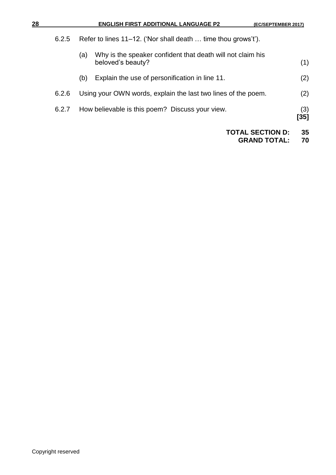| 28 |       | <b>ENGLISH FIRST ADDITIONAL LANGUAGE P2</b><br>(EC/SEPTEMBER 2017)                     |               |  |
|----|-------|----------------------------------------------------------------------------------------|---------------|--|
|    | 6.2.5 | Refer to lines 11–12. ('Nor shall death  time thou grows't').                          |               |  |
|    |       | Why is the speaker confident that death will not claim his<br>(a)<br>beloved's beauty? | (1)           |  |
|    |       | Explain the use of personification in line 11.<br>(b)                                  | (2)           |  |
|    | 6.2.6 | Using your OWN words, explain the last two lines of the poem.                          | (2)           |  |
|    | 6.2.7 | How believable is this poem? Discuss your view.                                        | (3)<br>$[35]$ |  |
|    |       |                                                                                        |               |  |

# **TOTAL SECTION D: 35 GRAND TOTAL: 70**